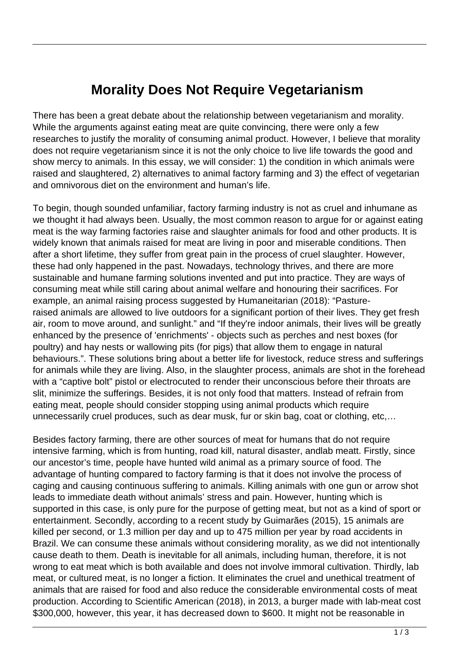## **Morality Does Not Require Vegetarianism**

There has been a great debate about the relationship between vegetarianism and morality. While the arguments against eating meat are quite convincing, there were only a few researches to justify the morality of consuming animal product. However, I believe that morality does not require vegetarianism since it is not the only choice to live life towards the good and show mercy to animals. In this essay, we will consider: 1) the condition in which animals were raised and slaughtered, 2) alternatives to animal factory farming and 3) the effect of vegetarian and omnivorous diet on the environment and human's life.

To begin, though sounded unfamiliar, factory farming industry is not as cruel and inhumane as we thought it had always been. Usually, the most common reason to argue for or against eating meat is the way farming factories raise and slaughter animals for food and other products. It is widely known that animals raised for meat are living in poor and miserable conditions. Then after a short lifetime, they suffer from great pain in the process of cruel slaughter. However, these had only happened in the past. Nowadays, technology thrives, and there are more sustainable and humane farming solutions invented and put into practice. They are ways of consuming meat while still caring about animal welfare and honouring their sacrifices. For example, an animal raising process suggested by Humaneitarian (2018): "Pastureraised animals are allowed to live outdoors for a significant portion of their lives. They get fresh air, room to move around, and sunlight." and "If they're indoor animals, their lives will be greatly enhanced by the presence of 'enrichments' - objects such as perches and nest boxes (for poultry) and hay nests or wallowing pits (for pigs) that allow them to engage in natural behaviours.". These solutions bring about a better life for livestock, reduce stress and sufferings for animals while they are living. Also, in the slaughter process, animals are shot in the forehead with a "captive bolt" pistol or electrocuted to render their unconscious before their throats are slit, minimize the sufferings. Besides, it is not only food that matters. Instead of refrain from eating meat, people should consider stopping using animal products which require unnecessarily cruel produces, such as dear musk, fur or skin bag, coat or clothing, etc,…

Besides factory farming, there are other sources of meat for humans that do not require intensive farming, which is from hunting, road kill, natural disaster, andlab meatt. Firstly, since our ancestor's time, people have hunted wild animal as a primary source of food. The advantage of hunting compared to factory farming is that it does not involve the process of caging and causing continuous suffering to animals. Killing animals with one gun or arrow shot leads to immediate death without animals' stress and pain. However, hunting which is supported in this case, is only pure for the purpose of getting meat, but not as a kind of sport or entertainment. Secondly, according to a recent study by Guimarães (2015), 15 animals are killed per second, or 1.3 million per day and up to 475 million per year by road accidents in Brazil. We can consume these animals without considering morality, as we did not intentionally cause death to them. Death is inevitable for all animals, including human, therefore, it is not wrong to eat meat which is both available and does not involve immoral cultivation. Thirdly, lab meat, or cultured meat, is no longer a fiction. It eliminates the cruel and unethical treatment of animals that are raised for food and also reduce the considerable environmental costs of meat production. According to Scientific American (2018), in 2013, a burger made with lab-meat cost \$300,000, however, this year, it has decreased down to \$600. It might not be reasonable in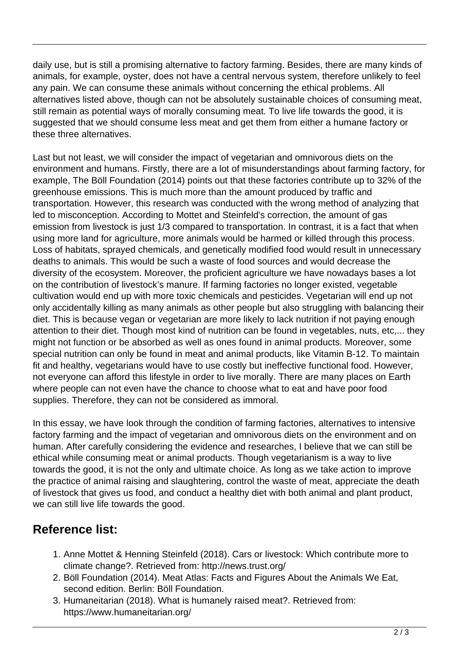daily use, but is still a promising alternative to factory farming. Besides, there are many kinds of animals, for example, oyster, does not have a central nervous system, therefore unlikely to feel any pain. We can consume these animals without concerning the ethical problems. All alternatives listed above, though can not be absolutely sustainable choices of consuming meat, still remain as potential ways of morally consuming meat. To live life towards the good, it is suggested that we should consume less meat and get them from either a humane factory or these three alternatives.

Last but not least, we will consider the impact of vegetarian and omnivorous diets on the environment and humans. Firstly, there are a lot of misunderstandings about farming factory, for example, The Böll Foundation (2014) points out that these factories contribute up to 32% of the greenhouse emissions. This is much more than the amount produced by traffic and transportation. However, this research was conducted with the wrong method of analyzing that led to misconception. According to Mottet and Steinfeld's correction, the amount of gas emission from livestock is just 1/3 compared to transportation. In contrast, it is a fact that when using more land for agriculture, more animals would be harmed or killed through this process. Loss of habitats, sprayed chemicals, and genetically modified food would result in unnecessary deaths to animals. This would be such a waste of food sources and would decrease the diversity of the ecosystem. Moreover, the proficient agriculture we have nowadays bases a lot on the contribution of livestock's manure. If farming factories no longer existed, vegetable cultivation would end up with more toxic chemicals and pesticides. Vegetarian will end up not only accidentally killing as many animals as other people but also struggling with balancing their diet. This is because vegan or vegetarian are more likely to lack nutrition if not paying enough attention to their diet. Though most kind of nutrition can be found in vegetables, nuts, etc,... they might not function or be absorbed as well as ones found in animal products. Moreover, some special nutrition can only be found in meat and animal products, like Vitamin B-12. To maintain fit and healthy, vegetarians would have to use costly but ineffective functional food. However, not everyone can afford this lifestyle in order to live morally. There are many places on Earth where people can not even have the chance to choose what to eat and have poor food supplies. Therefore, they can not be considered as immoral.

In this essay, we have look through the condition of farming factories, alternatives to intensive factory farming and the impact of vegetarian and omnivorous diets on the environment and on human. After carefully considering the evidence and researches, I believe that we can still be ethical while consuming meat or animal products. Though vegetarianism is a way to live towards the good, it is not the only and ultimate choice. As long as we take action to improve the practice of animal raising and slaughtering, control the waste of meat, appreciate the death of livestock that gives us food, and conduct a healthy diet with both animal and plant product, we can still live life towards the good.

## **Reference list:**

- 1. Anne Mottet & Henning Steinfeld (2018). Cars or livestock: Which contribute more to climate change?. Retrieved from: http://news.trust.org/
- 2. Böll Foundation (2014). Meat Atlas: Facts and Figures About the Animals We Eat, second edition. Berlin: Böll Foundation.
- 3. Humaneitarian (2018). What is humanely raised meat?. Retrieved from: https://www.humaneitarian.org/